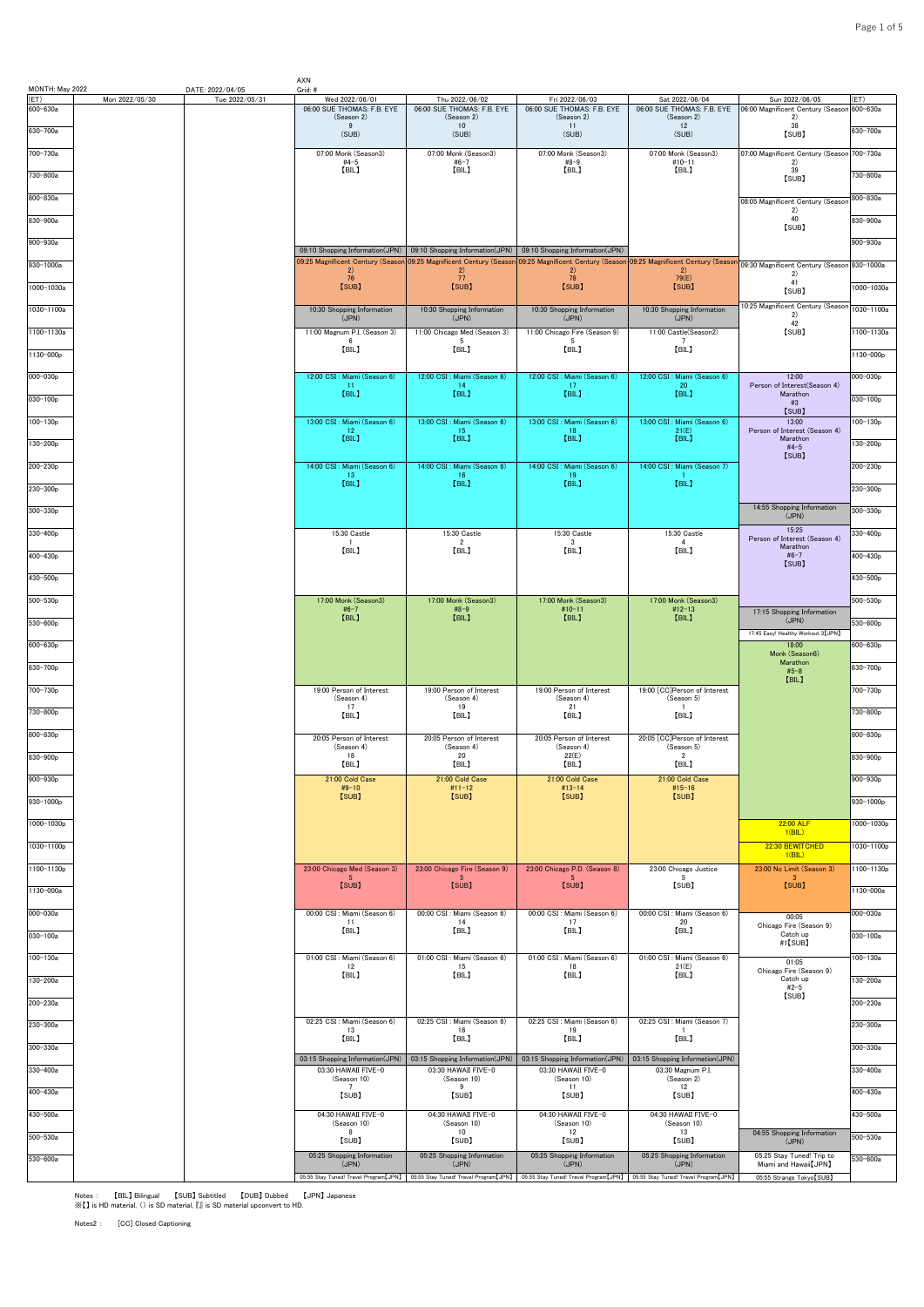| MONTH: May 2022        |                | DATE: 2022/04/05 | AXN<br>Grid: #                                                       |                                                                      |                                                                                                                                                                  |                                              |                                                     |                     |
|------------------------|----------------|------------------|----------------------------------------------------------------------|----------------------------------------------------------------------|------------------------------------------------------------------------------------------------------------------------------------------------------------------|----------------------------------------------|-----------------------------------------------------|---------------------|
| (ET)<br>600-630a       | Mon 2022/05/30 | Tue 2022/05/31   | Wed 2022/06/01<br>06:00 SUE THOMAS: F.B. EYE                         | Thu 2022/06/02<br>06:00 SUE THOMAS: F.B. EYE                         | Fri 2022/06/03<br>06:00 SUE THOMAS: F.B. EYE                                                                                                                     | Sat 2022/06/04<br>06:00 SUE THOMAS: F.B. EYE | Sun 2022/06/05<br>06:00 Magnificent Century (Seasor | ET)<br>$600 - 630a$ |
| 630-700a               |                |                  | (Season 2)<br>9<br>(SUB)                                             | (Season 2)<br>10<br>(SUB)                                            | (Season 2)<br>11<br>(SUB)                                                                                                                                        | (Season 2)<br>12<br>(SUB)                    | 2)<br>38                                            | 630-700a            |
|                        |                |                  |                                                                      |                                                                      |                                                                                                                                                                  |                                              | [SUB]                                               |                     |
| 700-730a               |                |                  | 07:00 Monk (Season3)<br>$#4-5$<br>[BIL]                              | 07:00 Monk (Season3)<br>$#6-7$<br>[BIL]                              | 07:00 Monk (Season3)<br>$#8-9$<br>[BIL]                                                                                                                          | 07:00 Monk (Season3)<br>$#10-11$<br>[BIL]    | 07:00 Magnificent Century (Seasor<br>2)<br>39       | 700-730a            |
| 730-800a               |                |                  |                                                                      |                                                                      |                                                                                                                                                                  |                                              | [SUB]                                               | 730-800a            |
| 800-830a               |                |                  |                                                                      |                                                                      |                                                                                                                                                                  |                                              | 08:05 Magnificent Century (Seasor                   | 800-830a            |
| 830-900a               |                |                  |                                                                      |                                                                      |                                                                                                                                                                  |                                              | 2)<br>40<br>[SUB]                                   | 830-900a            |
| 900-930a               |                |                  |                                                                      |                                                                      |                                                                                                                                                                  |                                              |                                                     | 900-930a            |
| $930 - 1000a$          |                |                  | 09:10 Shopping Information(JPN)<br>09:25 Magnificent Century (Seasor | 09:10 Shopping Information(JPN)<br>09:25 Magnificent Century (Season | 09:10 Shopping Information(JPN)<br>09:25 Magnificent Century (Season 09:25 Magnificent Century (Seasor                                                           |                                              | 09:30 Magnificent Century (Season 930-1000a         |                     |
|                        |                |                  | 2)<br>76<br>[SUB]                                                    | 2)<br>77<br>[SUB]                                                    | (2)<br>78<br>[SUB]                                                                                                                                               | (2)<br>79(E)<br>[SUB]                        | 2)<br>41                                            | 1000-1030a          |
| 1000-1030a             |                |                  |                                                                      |                                                                      |                                                                                                                                                                  |                                              | [SUB]<br>0:25 Magnificent Century (Seasor           |                     |
| 1030-1100a             |                |                  | 10:30 Shopping Information<br>(JPN)                                  | 10:30 Shopping Information<br>(JPN)                                  | 10:30 Shopping Information<br>(JPN)                                                                                                                              | 10:30 Shopping Information<br>(JPN)          | 2)<br>42                                            | 1030-1100a          |
| 1100-1130a             |                |                  | 11:00 Magnum P.I. (Season 3)<br>-6                                   | 11:00 Chicago Med (Season 3)<br>-5                                   | 11:00 Chicago Fire (Season 9)<br>5                                                                                                                               | 11:00 Castle(Season2)<br>-7                  | [SUB]                                               | 1100-1130a          |
| 1130-000p              |                |                  | [BIL]                                                                | [BIL]                                                                | [BIL]                                                                                                                                                            | [BIL]                                        |                                                     | 1130-000p           |
| 000-030p               |                |                  | 12:00 CSI : Miami (Season 6)                                         | 12:00 CSI : Miami (Season 6)                                         | 12:00 CSI : Miami (Season 6)                                                                                                                                     | 12:00 CSI : Miami (Season 6)                 | 12:00                                               | 000-030p            |
| $030 - 100p$           |                |                  | -11<br>[BIL]                                                         | 14<br>[BIL]                                                          | 17<br>[BIL]                                                                                                                                                      | 20<br>[BIL]                                  | Person of Interest(Season 4)<br>Marathon<br>#3      | $030 - 100p$        |
| 100-130p               |                |                  | 13:00 CSI : Miami (Season 6)                                         | 13:00 CSI : Miami (Season 6)                                         | 13:00 CSI : Miami (Season 6)                                                                                                                                     | 13:00 CSI : Miami (Season 6)                 | [SUB]<br>13:00                                      | $100 - 130p$        |
|                        |                |                  | 12<br>[BIL]                                                          | 15<br>[BIL]                                                          | 18<br>[BIL]                                                                                                                                                      | 21(E)<br>[BIL]                               | Person of Interest (Season 4)<br>Marathon           |                     |
| 130-200p               |                |                  |                                                                      |                                                                      |                                                                                                                                                                  |                                              | $#4-5$<br>[SUB]                                     | 130-200p            |
| 200-230p               |                |                  | 14:00 CSI : Miami (Season 6)<br>13                                   | 14:00 CSI : Miami (Season 6)<br>-16                                  | 14:00 CSI : Miami (Season 6)<br>19                                                                                                                               | 14:00 CSI : Miami (Season 7)                 |                                                     | 200-230p            |
| 230-300p               |                |                  | [BIL]                                                                | [BIL]                                                                | [BIL]                                                                                                                                                            | [BIL]                                        |                                                     | 230-300p            |
| 300-330p               |                |                  |                                                                      |                                                                      |                                                                                                                                                                  |                                              | 14:55 Shopping Information<br>(JPN)                 | $300 - 330p$        |
| 330-400p               |                |                  | 15:30 Castle                                                         | 15:30 Castle                                                         | 15:30 Castle                                                                                                                                                     | 15:30 Castle                                 | 15:25<br>Person of Interest (Season 4)              | 330-400p            |
| 400-430p               |                |                  | $\mathbf{1}$<br>[BIL]                                                | $\overline{2}$<br>[BIL]                                              | $\cdot$ 3<br>[BIL]                                                                                                                                               | $\overline{4}$<br>[BIL]                      | Marathon<br>$#6 - 7$                                | 400-430p            |
| 430-500p               |                |                  |                                                                      |                                                                      |                                                                                                                                                                  |                                              | [SUB]                                               | 430-500p            |
|                        |                |                  |                                                                      |                                                                      |                                                                                                                                                                  |                                              |                                                     |                     |
| $500 - 530p$           |                |                  | 17:00 Monk (Season3)<br>$#6 - 7$<br>[BIL]                            | 17:00 Monk (Season3)<br>#8-9<br>[BIL]                                | 17:00 Monk (Season3)<br>$#10-11$<br>[BIL]                                                                                                                        | 17:00 Monk (Season3)<br>$#12-13$<br>[BIL]    | 17:15 Shopping Information                          | 500-530p            |
| 530-600p               |                |                  |                                                                      |                                                                      |                                                                                                                                                                  |                                              | (JPN)<br>17:45 Easy! Healthy Workout 3 [JPN]        | $530 - 600p$        |
| $600 - 630p$           |                |                  |                                                                      |                                                                      |                                                                                                                                                                  |                                              | 18:00<br>Monk (Season6)                             | 600-630p            |
| 630-700p               |                |                  |                                                                      |                                                                      |                                                                                                                                                                  |                                              | Marathon<br>$#5 - 8$                                | 630-700p            |
| 700-730p               |                |                  | 19:00 Person of Interest                                             | 19:00 Person of Interest                                             | 19:00 Person of Interest                                                                                                                                         | 19:00 [CC]Person of Interest                 | [BIL]                                               | 700-730p            |
| 730-800p               |                |                  | (Season 4)<br>17<br>[BIL]                                            | (Season 4)<br>19<br>[BIL]                                            | (Season 4)<br>21<br>[BIL]                                                                                                                                        | (Season 5)<br>$\overline{1}$<br>[BIL]        |                                                     | 730-800p            |
| 800-830p               |                |                  |                                                                      |                                                                      |                                                                                                                                                                  |                                              |                                                     | 800-830p            |
|                        |                |                  | 20:05 Person of Interest<br>(Season 4)<br>18                         | 20:05 Person of Interest<br>(Season 4)<br>20                         | 20:05 Person of Interest<br>(Season 4)<br>22(E)                                                                                                                  | 20:05 [CC]Person of Interest<br>(Season 5)   |                                                     |                     |
| 830-900 <sub>p</sub>   |                |                  | [BIL]                                                                | [BIL]                                                                | [BIL]                                                                                                                                                            | $\overline{2}$<br>[BIL]                      |                                                     | 830-900p            |
| 900-930p               |                |                  | 21:00 Cold Case<br>$#9-10$                                           | 21:00 Cold Case<br>#11-12                                            | 21:00 Cold Case<br>$#13 - 14$                                                                                                                                    | 21:00 Cold Case<br>$#15 - 16$                |                                                     | 900-930p            |
| 930-1000p              |                |                  | [SUB]                                                                | [SUB]                                                                | [SUB]                                                                                                                                                            | [SUB]                                        |                                                     | 930-1000p           |
| 1000-1030p             |                |                  |                                                                      |                                                                      |                                                                                                                                                                  |                                              | 22:00 ALF                                           | 1000-1030p          |
| 1030-1100p             |                |                  |                                                                      |                                                                      |                                                                                                                                                                  |                                              | 1(BIL)<br>22:30 BEWITCHED                           | 1030-1100p          |
| 1100-1130 <sub>p</sub> |                |                  | 23:00 Chicago Med (Season 3)                                         | 23:00 Chicago Fire (Season 9)                                        | 23:00 Chicago P.D. (Season 8)                                                                                                                                    | 23:00 Chicago Justice                        | 1(BIL)<br>23:00 No Limit (Season 3)                 | 1100-1130p          |
| 1130-000a              |                |                  | [SUB]                                                                | [SUB]                                                                | [SUB]                                                                                                                                                            | - 5<br>[SUB]                                 | $\mathbf{3}$<br>[SUB]                               | 1130-000a           |
|                        |                |                  |                                                                      |                                                                      |                                                                                                                                                                  |                                              |                                                     |                     |
| 000-030a               |                |                  | 00:00 CSI : Miami (Season 6)<br>11<br>[BIL]                          | 00:00 CSI : Miami (Season 6)<br>14<br>[BIL]                          | 00:00 CSI : Miami (Season 6)<br>17<br>[BIL]                                                                                                                      | 00:00 CSI : Miami (Season 6)<br>20<br>[BIL]  | 00:05<br>Chicago Fire (Season 9)                    | 000-030a            |
| 030-100a               |                |                  |                                                                      |                                                                      |                                                                                                                                                                  |                                              | Catch up<br>#1【SUB】                                 | 030-100a            |
| $100 - 130a$           |                |                  | 01:00 CSI : Miami (Season 6)<br>12                                   | 01:00 CSI : Miami (Season 6)<br>15                                   | 01:00 CSI : Miami (Season 6)<br>18                                                                                                                               | 01:00 CSI : Miami (Season 6)<br>21(E)        | 01:05                                               | $100 - 130a$        |
| 130-200a               |                |                  | [BIL]                                                                | [BIL]                                                                | [BIL]                                                                                                                                                            | [BIL]                                        | Chicago Fire (Season 9)<br>Catch up<br>$#2-5$       | 130-200a            |
| 200-230a               |                |                  |                                                                      |                                                                      |                                                                                                                                                                  |                                              | [SUB]                                               | 200-230a            |
| 230-300a               |                |                  | 02:25 CSI : Miami (Season 6)                                         | 02:25 CSI : Miami (Season 6)                                         | 02:25 CSI : Miami (Season 6)                                                                                                                                     | 02:25 CSI : Miami (Season 7)                 |                                                     | 230-300a            |
|                        |                |                  | 13<br>[BIL]                                                          | 16<br>【BIL】                                                          | 19<br>[BIL]                                                                                                                                                      | $\overline{1}$<br>[BIL]                      |                                                     |                     |
| 300-330a               |                |                  | 03:15 Shopping Information(JPN)                                      | 03:15 Shopping Information(JPN)                                      | 03:15 Shopping Information(JPN)                                                                                                                                  | 03:15 Shopping Information(JPN)              |                                                     | 300-330a            |
| 330-400a               |                |                  | 03:30 HAWAII FIVE-0<br>(Season 10)                                   | 03:30 HAWAII FIVE-0<br>(Season 10)                                   | 03:30 HAWAII FIVE-0<br>(Season 10)                                                                                                                               | 03:30 Magnum P.I.<br>(Season 2)              |                                                     | 330-400a            |
| 400-430a               |                |                  | 7<br>[SUB]                                                           | 9<br>[SUB]                                                           | 11<br>[SUB]                                                                                                                                                      | 12<br>[SUB]                                  |                                                     | 400-430a            |
| 430-500a               |                |                  | 04:30 HAWAII FIVE-0<br>(Season 10)                                   | 04:30 HAWAII FIVE-0<br>(Season 10)                                   | 04:30 HAWAII FIVE-0<br>(Season 10)                                                                                                                               | 04:30 HAWAII FIVE-0<br>(Season 10)           |                                                     | 430-500a            |
| 500-530a               |                |                  | 8<br>[SUB]                                                           | 10<br>[SUB]                                                          | 12<br>[SUB]                                                                                                                                                      | 13<br>[SUB]                                  | 04:55 Shopping Information<br>(JPN)                 | $500 - 530a$        |
| 530-600a               |                |                  | 05:25 Shopping Information                                           | 05:25 Shopping Information                                           | 05:25 Shopping Information                                                                                                                                       | 05:25 Shopping Information                   | 05:25 Stay Tuned! Trip to                           | $530 - 600a$        |
|                        |                |                  | (JPN)                                                                | (JPN)                                                                | (JPN)<br>05:55 Stay Tuned! Travel Program[JPN] 05:55 Stay Tuned! Travel Program[JPN] 05:55 Stay Tuned! Travel Program[JPN] 05:55 Stay Tuned! Travel Program[JPN] | (JPN)                                        | Miami and Hawaii [JPN]<br>05:55 Strange Tokyo [SUB] |                     |

AXN

Notes : 【BIL】 Bilingual 【SUB】 Subtitled 【DUB】 Dubbed 【JPN】 Japanese ※【】 is HD material, () is SD material, 『』 is SD material upconvert to HD.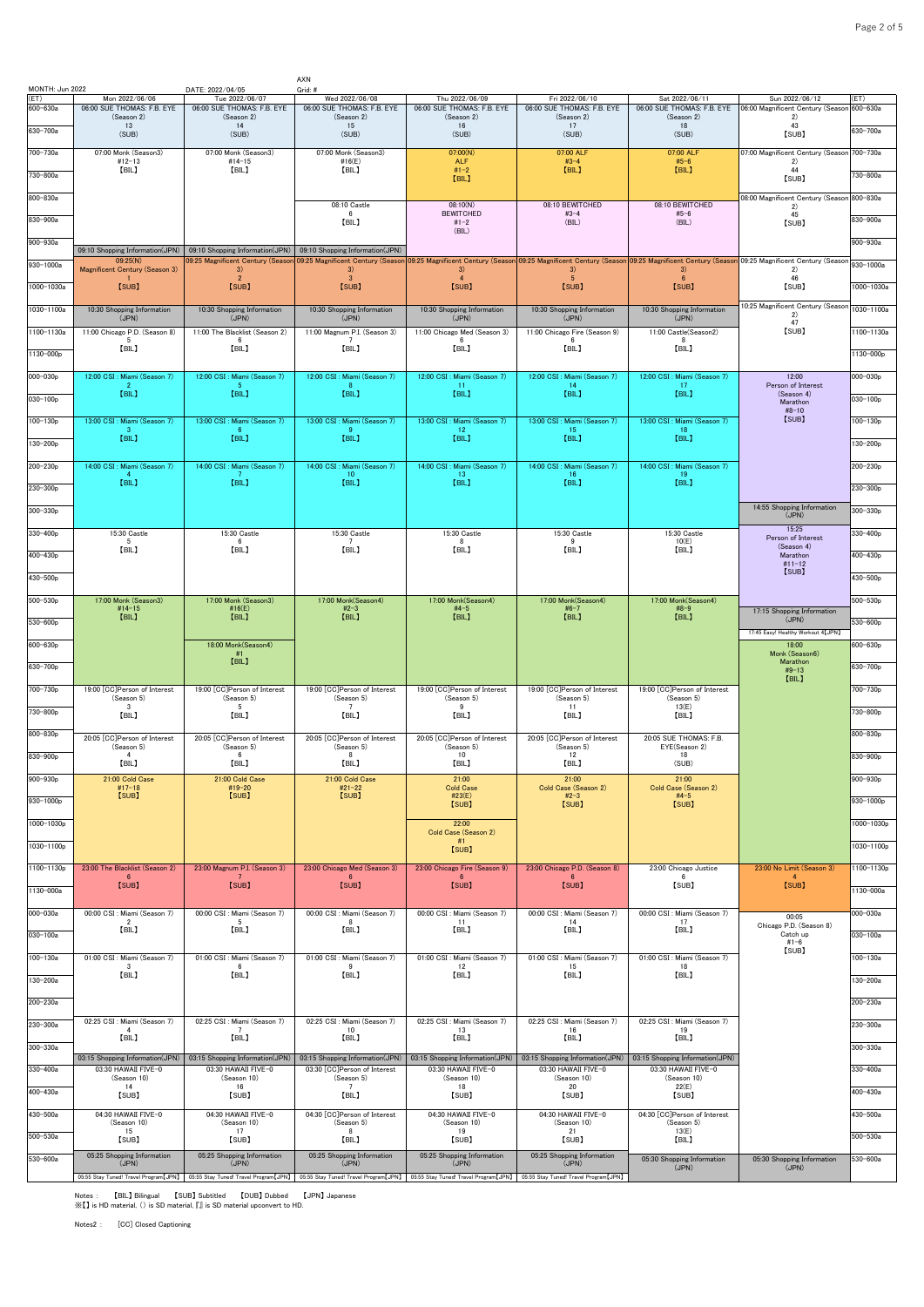| MONTH: Jun 2022  |                                                            | DATE: 2022/04/05                             | AXN<br>Grid: #                                                                                                                                              |                                              |                                                                                                                                                                                                                                                        |                                              |                                                     |                      |
|------------------|------------------------------------------------------------|----------------------------------------------|-------------------------------------------------------------------------------------------------------------------------------------------------------------|----------------------------------------------|--------------------------------------------------------------------------------------------------------------------------------------------------------------------------------------------------------------------------------------------------------|----------------------------------------------|-----------------------------------------------------|----------------------|
| (ET)<br>600-630a | Mon 2022/06/06<br>06:00 SUE THOMAS: F.B. EYE               | Tue 2022/06/07<br>06:00 SUE THOMAS: F.B. EYE | Wed 2022/06/08<br>06:00 SUE THOMAS: F.B. EYE                                                                                                                | Thu 2022/06/09<br>06:00 SUE THOMAS: F.B. EYE | Fri 2022/06/10<br>06:00 SUE THOMAS: F.B. EYE                                                                                                                                                                                                           | Sat 2022/06/11<br>06:00 SUE THOMAS: F.B. EYE | Sun 2022/06/12<br>06:00 Magnificent Century (Seasor | (ET)<br>$600 - 630a$ |
| 630-700a         | (Season 2)<br>13<br>(SUB)                                  | (Season 2)<br>14<br>(SUB)                    | (Season 2)<br>15<br>(SUB)                                                                                                                                   | (Season 2)<br>16<br>(SUB)                    | (Season 2)<br>17<br>(SUB)                                                                                                                                                                                                                              | (Season 2)<br>18<br>(SUB)                    | 2)<br>43<br>[SUB]                                   | 630-700a             |
| 700-730a         | 07:00 Monk (Season3)                                       | 07:00 Monk (Season3)                         | 07:00 Monk (Season3)                                                                                                                                        | 07:00(N)                                     | 07:00 ALF                                                                                                                                                                                                                                              | 07:00 ALF                                    | 07:00 Magnificent Century (Season                   | 700-730a             |
| 730-800a         | #12-13<br>[BIL]                                            | $#14-15$<br>[BIL]                            | #16(E)<br>[BIL]                                                                                                                                             | <b>ALF</b><br>$#1 - 2$                       | $#3 - 4$<br>[BIL]                                                                                                                                                                                                                                      | $#5-6$<br>[BIL]                              | 2)<br>44                                            | 730-800a             |
|                  |                                                            |                                              |                                                                                                                                                             | [BIL]                                        |                                                                                                                                                                                                                                                        |                                              | [SUB]                                               |                      |
| 800-830a         |                                                            |                                              | 08:10 Castle<br>6                                                                                                                                           | 08:10(N)<br><b>BEWITCHED</b>                 | 08:10 BEWITCHED<br>$#3 - 4$                                                                                                                                                                                                                            | 08:10 BEWITCHED<br>$#5 - 6$                  | 08:00 Magnificent Century (Seasor<br>2)<br>45       | 800-830a             |
| 830-900a         |                                                            |                                              | [BIL]                                                                                                                                                       | $#1 - 2$<br>(BIL)                            | (BIL)                                                                                                                                                                                                                                                  | (BIL)                                        | [SUB]                                               | 830-900a             |
| 900-930a         | 09:10 Shopping Information(JPN)                            | 09:10 Shopping Information(JPN)              | 09:10 Shopping Information(JPN)                                                                                                                             |                                              |                                                                                                                                                                                                                                                        |                                              |                                                     | $900 - 930a$         |
| 930-1000a        | 09:25(N)<br>Magnificent Century (Season 3)<br>$\mathbf{1}$ | 3)<br>$\overline{2}$                         | 3)<br>$\mathbf{3}$                                                                                                                                          | 3)<br>$\overline{4}$                         | 09:25 Magnificent Century (Season <mark>09:25 Magnificent Century (Season 09:25 Magnificent Century (Season 09:25 Magnificent Century (Season 09:25 Magnificent Century (Season 09:25 Magnificent Century (Season 09:25 Magnificent</mark><br>3)<br>-5 | 3)<br>6                                      | 2)<br>46                                            | 930-1000a            |
| 1000-1030a       | [SUB]                                                      | [SUB]                                        | [SUB]                                                                                                                                                       | [SUB]                                        | [SUB]                                                                                                                                                                                                                                                  | [SUB]                                        | [SUB]                                               | 1000-1030a           |
| 1030-1100a       | 10:30 Shopping Information<br>(JPN)                        | 10:30 Shopping Information<br>(JPN)          | 10:30 Shopping Information<br>(JPN)                                                                                                                         | 10:30 Shopping Information<br>(JPN)          | 10:30 Shopping Information<br>(JPN)                                                                                                                                                                                                                    | 10:30 Shopping Information<br>(JPN)          | 0:25 Magnificent Century (Seasor<br>2)<br>47        | 1030-1100a           |
| 1100-1130a       | 11:00 Chicago P.D. (Season 8)<br>-5                        | 11:00 The Blacklist (Season 2)<br>6          | 11:00 Magnum P.I. (Season 3)<br>- 7                                                                                                                         | 11:00 Chicago Med (Season 3)<br>6            | 11:00 Chicago Fire (Season 9)<br>-6                                                                                                                                                                                                                    | 11:00 Castle(Season2)<br>-8                  | [SUB]                                               | 1100-1130a           |
| 1130-000p        | [BIL]                                                      | [BIL]                                        | [BIL]                                                                                                                                                       | [BIL]                                        | [BIL]                                                                                                                                                                                                                                                  | [BIL]                                        |                                                     | 1130-000p            |
| 000-030p         | 12:00 CSI : Miami (Season 7)                               | 12:00 CSI : Miami (Season 7)                 | 12:00 CSI : Miami (Season 7)                                                                                                                                | 12:00 CSI : Miami (Season 7)                 | 12:00 CSI : Miami (Season 7)                                                                                                                                                                                                                           | 12:00 CSI : Miami (Season 7)<br>-17          | 12:00<br>Person of Interest                         | $000 - 030p$         |
| 030-100p         | [BIL]                                                      | [BIL]                                        | [BIL]                                                                                                                                                       | 11<br>[BIL]                                  | 14<br>[BIL]                                                                                                                                                                                                                                            | [BIL]                                        | (Season 4)<br>Marathon                              | $030 - 100p$         |
| $100 - 130p$     | 13:00 CSI : Miami (Season 7)                               | 13:00 CSI : Miami (Season 7)                 | 13:00 CSI : Miami (Season 7)                                                                                                                                | 13:00 CSI : Miami (Season 7)                 | 13:00 CSI : Miami (Season 7)                                                                                                                                                                                                                           | 13:00 CSI : Miami (Season 7)                 | $#8 - 10$<br>[SUB]                                  | $100 - 130p$         |
| 130-200p         | -3<br>[BIL]                                                | [BIL]                                        | [BIL]                                                                                                                                                       | 12<br>[BIL]                                  | 15<br>[BIL]                                                                                                                                                                                                                                            | 18<br>[BIL]                                  |                                                     | $130 - 200p$         |
| 200-230p         | 14:00 CSI : Miami (Season 7)                               | 14:00 CSI<br>Miami (Season 7)                | 14:00 CSI : Miami (Season 7)                                                                                                                                | 14:00 CSI : Miami (Season 7)                 | 14:00 CSI : Miami (Season 7)                                                                                                                                                                                                                           | 14:00 CSI : Miami (Season 7)                 |                                                     | 200-230p             |
| 230-300p         | 4<br>[BIL]                                                 | [BIL]                                        | 10 <sub>1</sub><br>[BIL]                                                                                                                                    | 13<br>[BIL]                                  | 16<br>[BIL]                                                                                                                                                                                                                                            | 19<br>[BIL]                                  |                                                     | $230 - 300p$         |
| 300-330p         |                                                            |                                              |                                                                                                                                                             |                                              |                                                                                                                                                                                                                                                        |                                              | 14:55 Shopping Information                          | 300-330p             |
| 330-400p         | 15:30 Castle                                               | 15:30 Castle                                 | 15:30 Castle                                                                                                                                                | 15:30 Castle                                 | 15:30 Castle                                                                                                                                                                                                                                           | 15:30 Castle                                 | (JPN)<br>15:25                                      | 330-400p             |
|                  | 5<br>[BIL]                                                 | 6<br>[BIL]                                   | $\overline{7}$<br>[BIL]                                                                                                                                     | 8<br>[BIL]                                   | 9<br>[BIL]                                                                                                                                                                                                                                             | 10(E)<br>[BIL]                               | Person of Interest<br>(Season 4)                    |                      |
| 400-430p         |                                                            |                                              |                                                                                                                                                             |                                              |                                                                                                                                                                                                                                                        |                                              | Marathon<br>$#11 - 12$<br>[SUB]                     | 400-430p             |
| 430-500p         |                                                            |                                              |                                                                                                                                                             |                                              |                                                                                                                                                                                                                                                        |                                              |                                                     | 430-500p             |
| 500-530p         | 17:00 Monk (Season3)<br>$#14 - 15$<br>[BIL]                | 17:00 Monk (Season3)<br>#16 $(E)$<br>[BIL]   | 17:00 Monk(Season4)<br>$#2-3$<br>[BIL]                                                                                                                      | 17:00 Monk(Season4)<br>$#4-5$<br>[BIL]       | 17:00 Monk(Season4)<br>$#6 - 7$<br>[BIL]                                                                                                                                                                                                               | 17:00 Monk(Season4)<br>$#8-9$<br>[BIL]       | 17:15 Shopping Information                          | $500 - 530p$         |
| 530-600p         |                                                            |                                              |                                                                                                                                                             |                                              |                                                                                                                                                                                                                                                        |                                              | (JPN)<br>17:45 Easy! Healthy Workout 4 [JPN]        | 530-600p             |
| 600-630p         |                                                            | 18:00 Monk(Season4)<br>#1                    |                                                                                                                                                             |                                              |                                                                                                                                                                                                                                                        |                                              | 18:00<br>Monk (Season6)                             | 600-630p             |
| 630-700p         |                                                            | [BIL]                                        |                                                                                                                                                             |                                              |                                                                                                                                                                                                                                                        |                                              | Marathon<br>$#9-13$<br>[BIL]                        | 630-700p             |
| 700-730p         | 19:00 [CC]Person of Interest<br>(Season 5)                 | 19:00 [CC]Person of Interest<br>(Season 5)   | 19:00 [CC]Person of Interest<br>(Season 5)                                                                                                                  | 19:00 [CC]Person of Interest<br>(Season 5)   | 19:00 [CC]Person of Interest<br>(Season 5)                                                                                                                                                                                                             | 19:00 [CC]Person of Interest<br>(Season 5)   |                                                     | 700-730p             |
| 730-800p         | $\mathbf{3}$<br>[BIL]                                      | - 5<br>[BIL]                                 | 7<br>[BIL]                                                                                                                                                  | -9<br>[BIL]                                  | 11<br>[BIL]                                                                                                                                                                                                                                            | 13(E)<br>[BIL]                               |                                                     | 730-800p             |
| 800-830p         | 20:05 [CC]Person of Interest                               | 20:05 [CC]Person of Interest                 | 20:05 [CC]Person of Interest                                                                                                                                | 20:05 [CC]Person of Interest                 | 20:05 CC Person of Interest                                                                                                                                                                                                                            | 20:05 SUE THOMAS: F.B.                       |                                                     | $800 - 830p$         |
| 830-900p         | (Season 5)<br>$\overline{4}$<br>[BIL]                      | (Season 5)<br>6<br>[BIL]                     | (Season 5)<br>8<br>[BIL]                                                                                                                                    | (Season 5)<br>10<br>[BIL]                    | (Season 5)<br>12<br>[BIL]                                                                                                                                                                                                                              | EYE(Season 2)<br>18<br>(SUB)                 |                                                     | 830-900p             |
| $900 - 930p$     | 21:00 Cold Case<br>$#17-18$                                | 21:00 Cold Case<br>#19-20                    | 21:00 Cold Case<br>$#21 - 22$                                                                                                                               | 21:00<br><b>Cold Case</b>                    | 21:00<br>Cold Case (Season 2)                                                                                                                                                                                                                          | 21:00<br>Cold Case (Season 2)                |                                                     | $900 - 930p$         |
| 930-1000p        | [SUB]                                                      | [SUB]                                        | [SUB]                                                                                                                                                       | #23(E)<br>[SUB]                              | $#2-3$<br>[SUB]                                                                                                                                                                                                                                        | $#4-5$<br>[SUB]                              |                                                     | 930-1000p            |
| 1000-1030p       |                                                            |                                              |                                                                                                                                                             | 22:00                                        |                                                                                                                                                                                                                                                        |                                              |                                                     | 1000-1030p           |
| 1030-1100p       |                                                            |                                              |                                                                                                                                                             | Cold Case (Season 2)<br>#1<br>[SUB]          |                                                                                                                                                                                                                                                        |                                              |                                                     | 1030-1100p           |
| 1100-1130p       | 23:00 The Blacklist (Season 2)                             | 23:00 Magnum P.I. (Season 3)                 | 23:00 Chicago Med (Season 3)                                                                                                                                | 23:00 Chicago Fire (Season 9)                | 23:00 Chicago P.D. (Season 8)                                                                                                                                                                                                                          | 23:00 Chicago Justice                        | 23:00 No Limit (Season 3)                           | 1100-1130p           |
| 1130-000a        | $6\phantom{.}6$<br>[SUB]                                   | $\overline{7}$<br>[SUB]                      | 6 <sup>1</sup><br>[SUB]                                                                                                                                     | $6\phantom{.}6$<br>[SUB]                     | $6\phantom{.}6$<br>[SUB]                                                                                                                                                                                                                               | 6<br>[SUB]                                   | $\overline{4}$<br>[SUB]                             | 1130-000a            |
| 000-030a         | 00:00 CSI : Miami (Season 7)                               | 00:00 CSI : Miami (Season 7)                 | 00:00 CSI : Miami (Season 7)                                                                                                                                | 00:00 CSI : Miami (Season 7)                 | 00:00 CSI : Miami (Season 7)                                                                                                                                                                                                                           | 00:00 CSI : Miami (Season 7)                 |                                                     | 000-030a             |
| 030-100a         | $\overline{2}$<br>[BIL]                                    | -5<br>[BIL]                                  | 8<br>[BIL]                                                                                                                                                  | -11<br>[BIL]                                 | 14<br>[BIL]                                                                                                                                                                                                                                            | 17<br>[BIL]                                  | 00:05<br>Chicago P.D. (Season 8)<br>Catch up        | $030 - 100a$         |
| 100-130a         | 01:00 CSI : Miami (Season 7)                               | 01:00 CSI : Miami (Season 7)                 | 01:00 CSI : Miami (Season 7)                                                                                                                                | 01:00 CSI : Miami (Season 7)                 | 01:00 CSI : Miami (Season 7)                                                                                                                                                                                                                           | 01:00 CSI : Miami (Season 7)                 | $#1 - 6$<br>[SUB]                                   | 100-130a             |
|                  | -3<br>[BIL]                                                | - 6<br>[BIL]                                 | -9<br>【BIL】                                                                                                                                                 | 12<br>[BIL]                                  | 15<br>[BIL]                                                                                                                                                                                                                                            | 18<br>[BIL]                                  |                                                     |                      |
| 130-200a         |                                                            |                                              |                                                                                                                                                             |                                              |                                                                                                                                                                                                                                                        |                                              |                                                     | 130-200a             |
| 200-230a         | 02:25 CSI : Miami (Season 7)                               | 02:25 CSI : Miami (Season 7)                 | 02:25 CSI : Miami (Season 7)                                                                                                                                | 02:25 CSI : Miami (Season 7)                 | 02:25 CSI : Miami (Season 7)                                                                                                                                                                                                                           | 02:25 CSI : Miami (Season 7)                 |                                                     | 200-230a             |
| 230-300a         | 4<br>[BIL]                                                 | 7<br>[BIL]                                   | 10<br>[BIL]                                                                                                                                                 | 13<br>[BIL]                                  | 16<br>[BIL]                                                                                                                                                                                                                                            | 19<br>[BIL]                                  |                                                     | 230-300a             |
| 300-330a         | 03:15 Shopping Information(JPN)                            | 03:15 Shopping Information(JPN)              | 03:15 Shopping Information(JPN)                                                                                                                             | 03:15 Shopping Information(JPN)              | 03:15 Shopping Information(JPN)                                                                                                                                                                                                                        | 03:15 Shopping Information(JPN)              |                                                     | $300 - 330a$         |
| 330-400a         | 03:30 HAWAII FIVE-0<br>(Season 10)                         | 03:30 HAWAII FIVE-0<br>(Season 10)           | 03:30 [CC]Person of Interest<br>(Season 5)                                                                                                                  | 03:30 HAWAII FIVE-0<br>(Season 10)           | 03:30 HAWAII FIVE-0<br>(Season 10)                                                                                                                                                                                                                     | 03:30 HAWAII FIVE-0<br>(Season 10)           |                                                     | 330-400a             |
| 400-430a         | 14<br>[SUB]                                                | 16<br>[SUB]                                  | 7<br>[BIL]                                                                                                                                                  | 18<br>[SUB]                                  | 20<br>[SUB]                                                                                                                                                                                                                                            | 22(E)<br>[SUB]                               |                                                     | 400-430a             |
| 430-500a         | 04:30 HAWAII FIVE-0<br>(Season 10)                         | 04:30 HAWAII FIVE-0<br>(Season 10)           | 04:30 [CC]Person of Interest<br>(Season 5)                                                                                                                  | 04:30 HAWAII FIVE-0<br>(Season 10)           | 04:30 HAWAII FIVE-0<br>(Season 10)                                                                                                                                                                                                                     | 04:30 [CC]Person of Interest<br>(Season 5)   |                                                     | 430-500a             |
| 500-530a         | 15<br>[SUB]                                                | 17<br>[SUB]                                  | 8<br>【BIL】                                                                                                                                                  | 19<br>[SUB]                                  | 21<br>[SUB]                                                                                                                                                                                                                                            | 13(E)<br>[BIL]                               |                                                     | 500-530a             |
| 530-600a         | 05:25 Shopping Information<br>(JPN)                        | 05:25 Shopping Information<br>(JPN)          | 05:25 Shopping Information<br>(JPN)                                                                                                                         | 05:25 Shopping Information<br>(JPN)          | 05:25 Shopping Information<br>(JPN)                                                                                                                                                                                                                    | 05:30 Shopping Information<br>(JPN)          | 05:30 Shopping Information<br>(JPN)                 | 530-600a             |
|                  |                                                            |                                              | 05:55 Stay Tuned! Travel Program [JPN] 05:55 Stay Tuned! Travel Program [JPN] 05:55 Stay Tuned! Travel Program [JPN] 05:55 Stay Tuned! Travel Program [JPN] |                                              | 05:55 Stay Tuned! Travel Program [JPN]                                                                                                                                                                                                                 |                                              |                                                     |                      |

Notes : 【BIL】 Bilingual 【SUB】 Subtitled 【DUB】 Dubbed 【JPN】 Japanese<br>※【】 is HD material, () is SD material, 『』 is SD material upconvert to HD.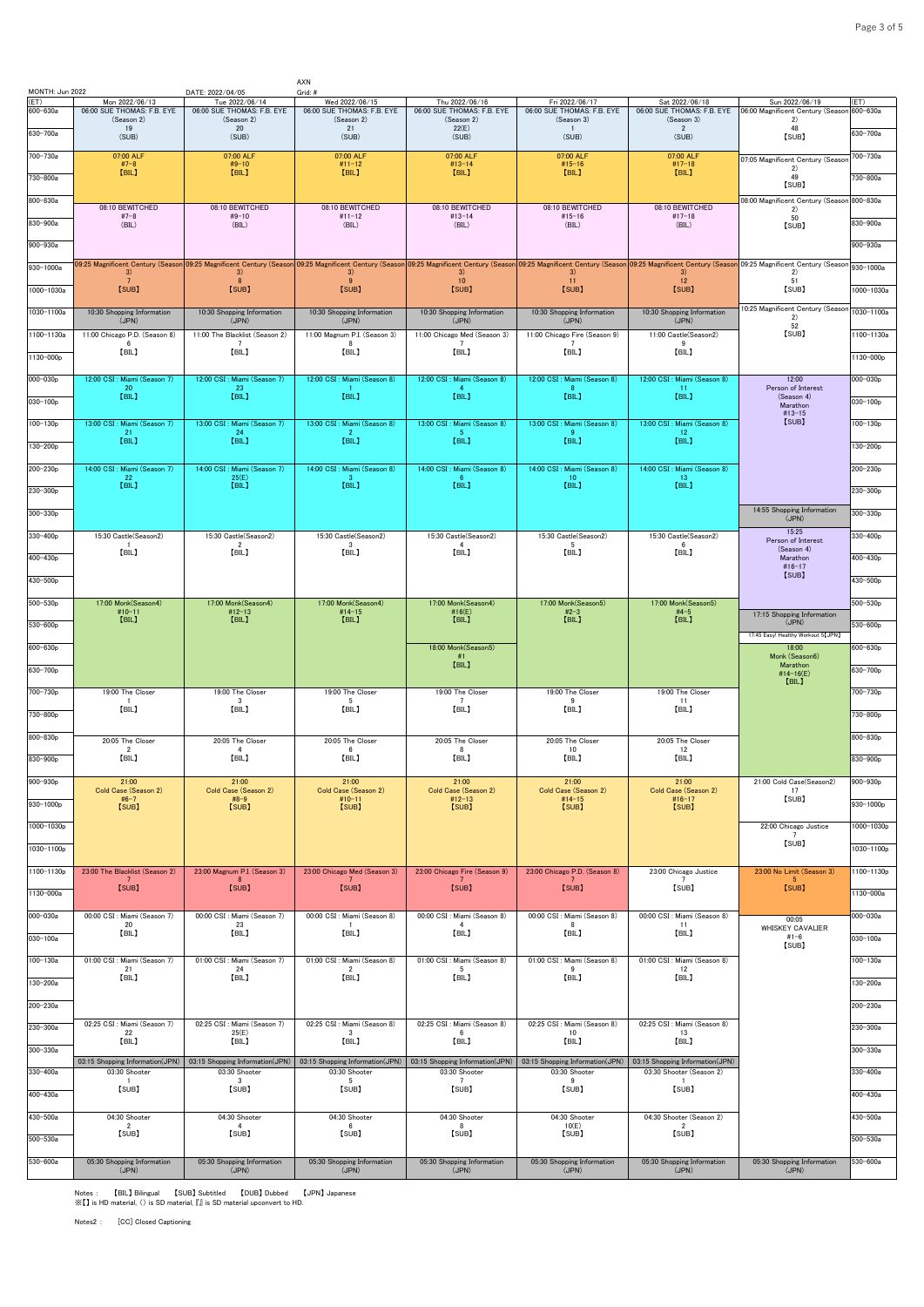| MONTH: Jun 2022  |                                                  | DATE: 2022/04/05                                                            | AXN<br>Grid: #                                                                                                                                                                                                                |                                                       |                                                          |                                                                               |                                                     |                      |
|------------------|--------------------------------------------------|-----------------------------------------------------------------------------|-------------------------------------------------------------------------------------------------------------------------------------------------------------------------------------------------------------------------------|-------------------------------------------------------|----------------------------------------------------------|-------------------------------------------------------------------------------|-----------------------------------------------------|----------------------|
| (ET)<br>600-630a | Mon 2022/06/13<br>06:00 SUE THOMAS: F.B. EYE     | Tue 2022/06/14<br>06:00 SUE THOMAS: F.B. EYE                                | Wed 2022/06/15<br>06:00 SUE THOMAS: F.B. EYE                                                                                                                                                                                  | Thu 2022/06/16<br>06:00 SUE THOMAS: F.B. EYE          | Fri 2022/06/17<br>06:00 SUE THOMAS: F.B. EYE             | Sat 2022/06/18<br>06:00 SUE THOMAS: F.B. EYE                                  | Sun 2022/06/19<br>06:00 Magnificent Century (Seasor | (ET)<br>600-630a     |
| 630-700a         | (Season 2)<br>19<br>(SUB)                        | (Season 2)<br>20<br>(SUB)                                                   | (Season 2)<br>21<br>(SUB)                                                                                                                                                                                                     | (Season 2)<br>22(E)<br>(SUB)                          | (Season 3)<br>$\overline{1}$<br>(SUB)                    | (Season 3)<br>$\overline{2}$<br>(SUB)                                         | 2)<br>48<br>[SUB]                                   | 630-700a             |
| 700-730a         | 07:00 ALF                                        | 07:00 ALF                                                                   | 07:00 ALF                                                                                                                                                                                                                     | 07:00 ALF                                             | 07:00 ALF                                                | 07:00 ALF                                                                     | 07:05 Magnificent Century (Seasor                   | 700-730a             |
| 730-800a         | $#7-8$<br>[BIL]                                  | $#9-10$<br>[BIL]                                                            | $#11 - 12$<br>[BIL]                                                                                                                                                                                                           | $#13 - 14$<br>[BIL]                                   | $#15 - 16$<br>[BIL]                                      | $#17-18$<br>[BIL]                                                             | 2)<br>49                                            | 730-800a             |
| 800-830a         |                                                  |                                                                             |                                                                                                                                                                                                                               |                                                       |                                                          |                                                                               | [SUB]<br>08:00 Magnificent Century (Seasor          | 800-830a             |
| 830-900a         | 08:10 BEWITCHED<br>$#7-8$<br>(BIL)               | 08:10 BEWITCHED<br>$#9 - 10$<br>(BIL)                                       | 08:10 BEWITCHED<br>$#11 - 12$<br>(BIL)                                                                                                                                                                                        | 08:10 BEWITCHED<br>$#13 - 14$<br>(BIL)                | 08:10 BEWITCHED<br>$#15 - 16$<br>(BIL)                   | 08:10 BEWITCHED<br>$#17-18$<br>(BIL)                                          | 2)<br>50                                            | 830-900a             |
| $900 - 930a$     |                                                  |                                                                             |                                                                                                                                                                                                                               |                                                       |                                                          |                                                                               | [SUB]                                               | $900 - 930a$         |
| $930 - 1000a$    |                                                  |                                                                             | 09:25 Magnificent Century (Season 09:25 Magnificent Century (Season 09:25 Magnificent Century (Season 09:25 Magnificent Century (Season 09:25 Magnificent Century (Season 09:25 Magnificent Century (Season 09:25 Magnificent |                                                       |                                                          |                                                                               |                                                     | 930-1000a            |
| 1000-1030a       | 3)<br>7<br>[SUB]                                 | 3)<br>$\mathbf{8}$<br>[SUB]                                                 | 3)<br>9<br>[SUB]                                                                                                                                                                                                              | 3)<br>10<br>[SUB]                                     | 3)<br>11<br>[SUB]                                        | 3)<br>12<br>[SUB]                                                             | 2)<br>51<br>[SUB]                                   | 1000-1030a           |
| 1030-1100a       | 10:30 Shopping Information                       | 10:30 Shopping Information                                                  | 10:30 Shopping Information                                                                                                                                                                                                    | 10:30 Shopping Information                            | 10:30 Shopping Information                               | 10:30 Shopping Information                                                    | 10:25 Magnificent Century (Seasor                   | 1030-1100a           |
| 1100-1130a       | (JPN)<br>11:00 Chicago P.D. (Season 8)           | (JPN)<br>11:00 The Blacklist (Season 2)                                     | (JPN)<br>11:00 Magnum P.I. (Season 3)                                                                                                                                                                                         | (JPN)<br>11:00 Chicago Med (Season 3)                 | (JPN)<br>11:00 Chicago Fire (Season 9)                   | (JPN)<br>11:00 Castle(Season2)                                                | 2)<br>52<br>[SUB]                                   | 1100-1130a           |
|                  | 6<br>[BIL]                                       | $\overline{7}$<br>[BIL]                                                     | 8<br>[BIL]                                                                                                                                                                                                                    | [BIL]                                                 | [BIL]                                                    | -9<br>[BIL]                                                                   |                                                     |                      |
| 1130-000p        |                                                  |                                                                             |                                                                                                                                                                                                                               |                                                       |                                                          |                                                                               |                                                     | 1130-000p            |
| $000 - 030p$     | 12:00 CSI : Miami (Season 7)<br>-20<br>[BIL]     | 12:00 CSI : Miami (Season 7)<br>23<br>[BIL]                                 | 12:00 CSI : Miami (Season 8)<br>[BIL]                                                                                                                                                                                         | 12:00 CSI : Miami (Season 8)<br>[BIL]                 | 12:00 CSI : Miami (Season 8)<br>[BIL]                    | 12:00 CSI : Miami (Season 8)<br>-11<br>[BIL]                                  | 12:00<br>Person of Interest<br>(Season 4)           | 000-030p             |
| $030 - 100p$     |                                                  |                                                                             |                                                                                                                                                                                                                               |                                                       |                                                          |                                                                               | Marathon<br>$#13 - 15$<br>[SUB]                     | $030 - 100p$         |
| 100-130p         | 13:00 CSI : Miami (Season 7)<br>21<br>[BIL]      | 13:00 CSI : Miami (Season 7)<br>24<br>[BIL]                                 | 13:00 CSI : Miami (Season 8)<br>$\overline{2}$<br>[BIL]                                                                                                                                                                       | 13:00 CSI : Miami (Season 8)<br>-5.<br>[BIL]          | 13:00 CSI: Miami (Season 8)<br>-9<br>[BIL]               | 13:00 CSI : Miami (Season 8)<br>12<br>[BIL]                                   |                                                     | $100 - 130p$         |
| 130-200p         |                                                  |                                                                             |                                                                                                                                                                                                                               |                                                       |                                                          |                                                                               |                                                     | $130 - 200p$         |
| $200 - 230p$     | 14:00 CSI : Miami (Season 7)<br>22<br>[BIL]      | 14:00 CSI : Miami (Season 7)<br>25(E)<br>[BIL]                              | 14:00 CSI : Miami (Season 8)<br>-3.<br>[BIL]                                                                                                                                                                                  | 14:00 CSI : Miami (Season 8)<br>- 6<br>[BIL]          | 14:00 CSI : Miami (Season 8)<br>10 <sub>1</sub><br>[BIL] | 14:00 CSI : Miami (Season 8)<br>13<br>[BIL]                                   |                                                     | $200 - 230p$         |
| 230-300p         |                                                  |                                                                             |                                                                                                                                                                                                                               |                                                       |                                                          |                                                                               | 14:55 Shopping Information                          | 230-300p             |
| $300 - 330p$     |                                                  |                                                                             |                                                                                                                                                                                                                               |                                                       |                                                          |                                                                               | (JPN)<br>15:25                                      | $300 - 330p$         |
| $330 - 400p$     | 15:30 Castle(Season2)<br>-1<br>[BIL]             | 15:30 Castle(Season2)<br>$\overline{2}$<br>[BIL]                            | 15:30 Castle(Season2)<br>3<br>[BIL]                                                                                                                                                                                           | 15:30 Castle(Season2)<br>$\overline{4}$<br>[BIL]      | 15:30 Castle(Season2)<br>-5<br>[BIL]                     | 15:30 Castle(Season2)<br>- 6<br>[BIL]                                         | Person of Interest<br>(Season 4)                    | 330-400 <sub>p</sub> |
| 400-430p         |                                                  |                                                                             |                                                                                                                                                                                                                               |                                                       |                                                          |                                                                               | Marathon<br>$#16-17$<br>[SUB]                       | 400-430p             |
| 430-500p         |                                                  |                                                                             |                                                                                                                                                                                                                               |                                                       |                                                          |                                                                               |                                                     | 430-500p             |
| 500-530p         | 17:00 Monk(Season4)<br>#10-11<br>【BIL】           | 17:00 Monk(Season4)<br>$#12-13$                                             | 17:00 Monk(Season4)<br>$#14 - 15$<br>[BIL]                                                                                                                                                                                    | 17:00 Monk(Season4)<br>#16(E)                         | 17:00 Monk(Season5)<br>#2-3<br>[BIL]                     | 17:00 Monk(Season5)<br>$#4-5$<br>[BIL]                                        | 17:15 Shopping Information                          | 500-530p             |
| $530 - 600p$     |                                                  | [BIL]                                                                       |                                                                                                                                                                                                                               | [BIL]                                                 |                                                          |                                                                               | (JPN)<br>17:45 Easy! Healthy Workout 5 [JPN]        | 530-600p             |
| $600 - 630p$     |                                                  |                                                                             |                                                                                                                                                                                                                               | 18:00 Monk(Season5)<br>#1                             |                                                          |                                                                               | 18:00<br>Monk (Season6)                             | 600-630p             |
| 630-700p         |                                                  |                                                                             |                                                                                                                                                                                                                               | [BIL]                                                 |                                                          |                                                                               | Marathon<br>#14-16(E)<br>[BIL]                      | 630-700p             |
| 700-730p         | 19:00 The Closer                                 | 19:00 The Closer<br>$\mathbf{R}$                                            | 19:00 The Closer<br>-5                                                                                                                                                                                                        | 19:00 The Closer<br>$\overline{7}$                    | 19:00 The Closer<br>-9                                   | 19:00 The Closer<br>-11                                                       |                                                     | 700-730p             |
| 730-800p         | [BIL]                                            | [BIL]                                                                       | [BIL]                                                                                                                                                                                                                         | [BIL]                                                 | [BIL]                                                    | [BIL]                                                                         |                                                     | 730-800p             |
| 800-830p         | 20:05 The Closer<br>$\overline{2}$               | 20:05 The Closer<br>$\mathbf{A}$                                            | 20:05 The Closer<br>6                                                                                                                                                                                                         | 20:05 The Closer<br>-8                                | 20:05 The Closer<br>10                                   | 20:05 The Closer<br>12                                                        |                                                     | $800 - 830p$         |
| 830-900p         | [BIL]                                            | 【BIL】                                                                       | [BIL]                                                                                                                                                                                                                         | [BIL]                                                 | [BIL]                                                    | [BIL]                                                                         |                                                     | 830-900p             |
| 900-930p         | 21:00<br>Cold Case (Season 2)                    | 21:00<br>Cold Case (Season 2)                                               | 21:00<br>Cold Case (Season 2)                                                                                                                                                                                                 | 21:00<br>Cold Case (Season 2)                         | 21:00<br>Cold Case (Season 2)                            | 21:00<br>Cold Case (Season 2)                                                 | 21:00 Cold Case(Season2)<br>17                      | 900-930p             |
| 930-1000p        | $#6 - 7$<br>[SUB]                                | $#8-9$<br>[SUB]                                                             | $#10-11$<br>[SUB]                                                                                                                                                                                                             | $#12 - 13$<br>[SUB]                                   | $#14-15$<br>[SUB]                                        | $#16 - 17$<br>[SUB]                                                           | [SUB]                                               | 930-1000p            |
| 1000-1030p       |                                                  |                                                                             |                                                                                                                                                                                                                               |                                                       |                                                          |                                                                               | 22:00 Chicago Justice<br>$\overline{7}$             | 1000-1030p           |
| 1030-1100p       |                                                  |                                                                             |                                                                                                                                                                                                                               |                                                       |                                                          |                                                                               | [SUB]                                               | 1030-1100p           |
| 1100-1130p       | 23:00 The Blacklist (Season 2)                   | 23:00 Magnum P.I. (Season 3)<br>8                                           | 23:00 Chicago Med (Season 3)<br>$7^{\circ}$                                                                                                                                                                                   | 23:00 Chicago Fire (Season 9)<br>$7^{\circ}$          | 23:00 Chicago P.D. (Season 8)<br>7                       | 23:00 Chicago Justice<br>$\overline{7}$                                       | 23:00 No Limit (Season 3)<br>-5                     | 1100-1130p           |
| 1130-000a        | [SUB]                                            | [SUB]                                                                       | [SUB]                                                                                                                                                                                                                         | [SUB]                                                 | [SUB]                                                    | [SUB]                                                                         | [SUB]                                               | 1130-000a            |
| 000-030a         | 00:00 CSI : Miami (Season 7)<br>20               | 00:00 CSI : Miami (Season 7)<br>23                                          | 00:00 CSI : Miami (Season 8)                                                                                                                                                                                                  | 00:00 CSI : Miami (Season 8)                          | 00:00 CSI : Miami (Season 8)                             | 00:00 CSI : Miami (Season 8)                                                  | 00:05<br><b>WHISKEY CAVALIER</b>                    | 000-030a             |
| 030-100a         | [BIL]                                            | [BIL]                                                                       | [BIL]                                                                                                                                                                                                                         | [BIL]                                                 | [BIL]                                                    | [BIL]                                                                         | $#1 - 6$<br>[SUB]                                   | 030-100a             |
| 100-130a         | 01:00 CSI : Miami (Season 7)<br>21               | 01:00 CSI : Miami (Season 7)<br>24                                          | 01:00 CSI : Miami (Season 8)<br>$\overline{2}$                                                                                                                                                                                | 01:00 CSI : Miami (Season 8)<br>5                     | 01:00 CSI : Miami (Season 8)<br>9                        | 01:00 CSI : Miami (Season 8)<br>12                                            |                                                     | 100-130a             |
| 130-200a         | [BIL]                                            | [BIL]                                                                       | [BIL]                                                                                                                                                                                                                         | [BIL]                                                 | [BIL]                                                    | [BIL]                                                                         |                                                     | 130-200a             |
| 200-230a         |                                                  |                                                                             |                                                                                                                                                                                                                               |                                                       |                                                          |                                                                               |                                                     | $200 - 230a$         |
| 230-300a         | 02:25 CSI : Miami (Season 7)<br>22               | 02:25 CSI : Miami (Season 7)<br>25(E)                                       | 02:25 CSI : Miami (Season 8)<br>$\overline{\mathbf{3}}$                                                                                                                                                                       | 02:25 CSI : Miami (Season 8)<br>- 6                   | 02:25 CSI : Miami (Season 8)<br>10                       | 02:25 CSI : Miami (Season 8)<br>13                                            |                                                     | 230-300a             |
| 300-330a         | [BIL]                                            | [BIL]                                                                       | [BIL]                                                                                                                                                                                                                         | 【BIL】                                                 | [BIL]                                                    | [BIL]                                                                         |                                                     | 300-330a             |
| 330-400a         | 03:15 Shopping Information(JPN)<br>03:30 Shooter | 03:15 Shopping Information(JPN)<br>03:30 Shooter<br>$\overline{\mathbf{3}}$ | 03:15 Shopping Information(JPN)<br>03:30 Shooter<br>5                                                                                                                                                                         | 03:15 Shopping Information(JPN)<br>03:30 Shooter<br>7 | 03:15 Shopping Information(JPN)<br>03:30 Shooter<br>9    | 03:15 Shopping Information(JPN)<br>03:30 Shooter (Season 2)<br>$\overline{1}$ |                                                     | 330-400a             |
| 400-430a         | [SUB]                                            | [SUB]                                                                       | [SUB]                                                                                                                                                                                                                         | [SUB]                                                 | [SUB]                                                    | [SUB]                                                                         |                                                     | 400-430a             |
| 430-500a         | 04:30 Shooter                                    | 04:30 Shooter                                                               | 04:30 Shooter                                                                                                                                                                                                                 | 04:30 Shooter                                         | 04:30 Shooter                                            | 04:30 Shooter (Season 2)                                                      |                                                     | 430-500a             |
| 500-530a         | $\overline{2}$<br>[SUB]                          | $\overline{4}$<br>[SUB]                                                     | $6\degree$<br>[SUB]                                                                                                                                                                                                           | 8<br>[SUB]                                            | 10(E)<br>[SUB]                                           | $\overline{2}$<br>[SUB]                                                       |                                                     | $500 - 530a$         |
| 530-600a         | 05:30 Shopping Information                       | 05:30 Shopping Information                                                  | 05:30 Shopping Information                                                                                                                                                                                                    | 05:30 Shopping Information                            | 05:30 Shopping Information                               | 05:30 Shopping Information                                                    | 05:30 Shopping Information                          | 530-600a             |
|                  | (JPN)                                            | (JPN)                                                                       | (JPN)                                                                                                                                                                                                                         | (JPN)                                                 | (JPN)                                                    | (JPN)                                                                         | (JPN)                                               |                      |

Notes : 【BIL】 Bilingual 【SUB】 Subtitled 【DUB】 Dubbed 【JPN】 Japanese ※【】 is HD material, () is SD material, 『』 is SD material upconvert to HD.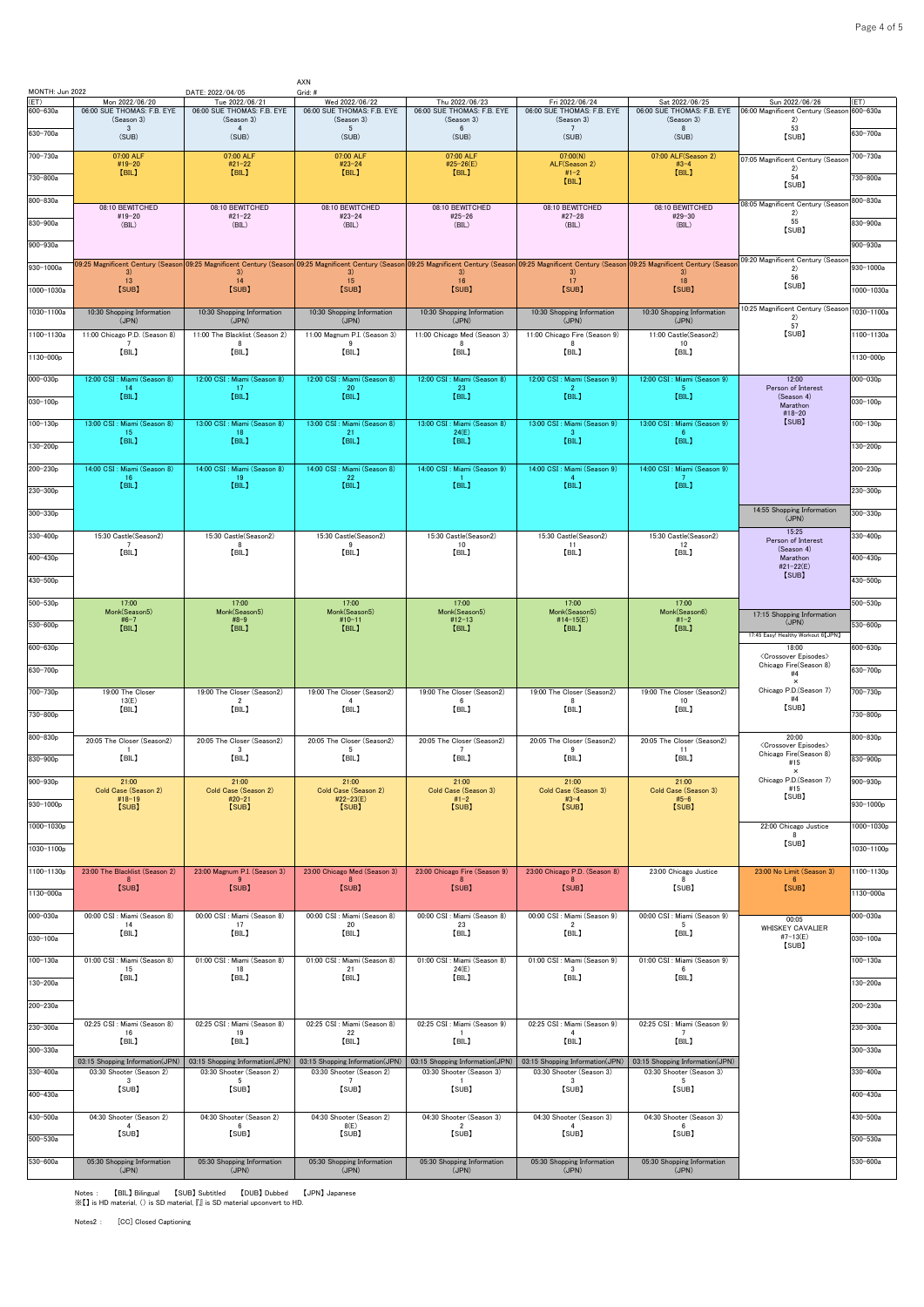| MONTH: Jun 2022 |                                              | DATE: 2022/04/05                             | AXN<br>Grid: #                                                                                                                                                                                                                |                                              |                                                         |                                              |                                                                         |               |
|-----------------|----------------------------------------------|----------------------------------------------|-------------------------------------------------------------------------------------------------------------------------------------------------------------------------------------------------------------------------------|----------------------------------------------|---------------------------------------------------------|----------------------------------------------|-------------------------------------------------------------------------|---------------|
| ET)<br>600-630a | Mon 2022/06/20<br>06:00 SUE THOMAS: F.B. EYE | Tue 2022/06/21<br>06:00 SUE THOMAS: F.B. EYE | Wed 2022/06/22<br>06:00 SUE THOMAS: F.B. EYE                                                                                                                                                                                  | Thu 2022/06/23<br>06:00 SUE THOMAS: F.B. EYE | Fri 2022/06/24<br>06:00 SUE THOMAS: F.B. EYE            | Sat 2022/06/25<br>06:00 SUE THOMAS: F.B. EYE | Sun 2022/06/26<br>06:00 Magnificent Century (Season 600-630a            | (ET)          |
| 630-700a        | (Season 3)<br>$\overline{3}$                 | (Season 3)<br>$\overline{4}$                 | (Season 3)<br>$5\overline{)}$                                                                                                                                                                                                 | (Season 3)<br>$6\phantom{.0}$                | (Season 3)<br>7                                         | (Season 3)<br>8                              | 2)<br>53                                                                | 630-700a      |
|                 | (SUB)                                        | (SUB)                                        | (SUB)                                                                                                                                                                                                                         | (SUB)                                        | (SUB)                                                   | (SUB)                                        | [SUB]                                                                   |               |
| 700-730a        | 07:00 ALF<br>#19-20<br>[BIL]                 | 07:00 ALF<br>$#21 - 22$<br>[BIL]             | 07:00 ALF<br>#23-24<br>[BIL]                                                                                                                                                                                                  | 07:00 ALF<br>#25-26(E)<br>[BIL]              | 07:00(N)<br>ALF(Season 2)<br>$#1 - 2$                   | 07:00 ALF(Season 2)<br>$#3 - 4$<br>[BIL]     | 07:05 Magnificent Century (Seasor<br>2)                                 | 700-730a      |
| 730-800a        |                                              |                                              |                                                                                                                                                                                                                               |                                              | [BIL]                                                   |                                              | 54<br>[SUB]                                                             | 730-800a      |
| 800-830a        | 08:10 BEWITCHED                              | 08:10 BEWITCHED                              | 08:10 BEWITCHED                                                                                                                                                                                                               | 08:10 BEWITCHED                              | 08:10 BEWITCHED                                         | 08:10 BEWITCHED                              | 08:05 Magnificent Century (Seasor                                       | 300-830a      |
| 830-900a        | #19-20<br>(BIL)                              | $#21 - 22$<br>(BIL)                          | $#23 - 24$<br>(BIL)                                                                                                                                                                                                           | $#25 - 26$<br>(BIL)                          | $#27 - 28$<br>(BIL)                                     | #29-30<br>(BIL)                              | 2)<br>55<br>[SUB]                                                       | 830-900a      |
| 900-930a        |                                              |                                              |                                                                                                                                                                                                                               |                                              |                                                         |                                              |                                                                         | 900-930a      |
| 930-1000a       |                                              |                                              | 09:25 Magnificent Century (Season 09:25 Magnificent Century (Season 09:25 Magnificent Century (Season 09:25 Magnificent Century (Season 09:25 Magnificent Century (Season 09:26 Magnificent Century (Season 09:25 Magnificent |                                              |                                                         |                                              | 09:20 Magnificent Century (Seasor                                       | 930-1000a     |
|                 | 3)<br>13                                     | 3)<br>14                                     | 3)<br>15                                                                                                                                                                                                                      | 3)<br>16                                     | 3)<br>17                                                | 3)<br>18                                     | 2)<br>56<br>[SUB]                                                       |               |
| 1000-1030a      | [SUB]                                        | [SUB]                                        | [SUB]                                                                                                                                                                                                                         | [SUB]                                        | [SUB]                                                   | [SUB]                                        |                                                                         | 1000-1030a    |
| 1030-1100a      | 10:30 Shopping Information<br>(JPN)          | 10:30 Shopping Information<br>(JPN)          | 10:30 Shopping Information<br>(JPN)                                                                                                                                                                                           | 10:30 Shopping Information<br>(JPN)          | 10:30 Shopping Information<br>(JPN)                     | 10:30 Shopping Information<br>(JPN)          | 0:25 Magnificent Century (Seasor<br>2)                                  | 1030-1100a    |
| 1100-1130a      | 11:00 Chicago P.D. (Season 8)                | 11:00 The Blacklist (Season 2)<br>8          | 11:00 Magnum P.I. (Season 3)<br>$\mathbf{Q}$                                                                                                                                                                                  | 11:00 Chicago Med (Season 3)<br>-8           | 11:00 Chicago Fire (Season 9)                           | 11:00 Castle(Season2)<br>10                  | 57<br>[SUB]                                                             | 1100-1130a    |
| 1130-000p       | [BIL]                                        | [BIL]                                        | [BIL]                                                                                                                                                                                                                         | [BIL]                                        | [BIL]                                                   | [BIL]                                        |                                                                         | 1130-000p     |
| 000-030p        | 12:00 CSI: Miami (Season 8)                  | 12:00 CSI : Miami (Season 8)                 | 12:00 CSI : Miami (Season 8)                                                                                                                                                                                                  | 12:00 CSI : Miami (Season 8)                 | 12:00 CSI: Miami (Season 9)                             | 12:00 CSI: Miami (Season 9)                  | 12:00                                                                   | $000 - 030p$  |
|                 | 14<br>[BIL]                                  | 17<br>[BIL]                                  | 20<br>[BIL]                                                                                                                                                                                                                   | 23<br>[BIL]                                  | [BIL]                                                   | $\sqrt{5}$<br>[BIL]                          | Person of Interest<br>(Season 4)                                        |               |
| 030-100p        |                                              |                                              |                                                                                                                                                                                                                               |                                              |                                                         |                                              | Marathon<br>#18-20                                                      | $030 - 100p$  |
| $100 - 130p$    | 13:00 CSI : Miami (Season 8)<br>15           | 13:00 CSI : Miami (Season 8)<br>18           | 13:00 CSI : Miami (Season 8)<br>21                                                                                                                                                                                            | 13:00 CSI : Miami (Season 8)<br>24(E)        | 13:00 CSI : Miami (Season 9)                            | 13:00 CSI : Miami (Season 9)<br>-6           | [SUB]                                                                   | $100 - 130p$  |
| 130-200p        | [BIL]                                        | [BIL]                                        | [BIL]                                                                                                                                                                                                                         | [BIL]                                        | [BIL]                                                   | [BIL]                                        |                                                                         | 130-200p      |
| 200-230p        | 14:00 CSI : Miami (Season 8)                 | 14:00 CSI : Miami (Season 8)                 | 14:00 CSI : Miami (Season 8)                                                                                                                                                                                                  | 14:00 CSI : Miami (Season 9)                 | 14:00 CSI<br>: Miami (Season 9)                         | 14:00 CSI : Miami (Season 9)                 |                                                                         | $200 - 230p$  |
| 230-300p        | 16<br>[BIL]                                  | 19<br>[BIL]                                  | 22<br>[BIL]                                                                                                                                                                                                                   | [BIL]                                        | $\overline{4}$<br>[BIL]                                 | $\overline{7}$<br>[BIL]                      |                                                                         | 230-300p      |
| 300-330p        |                                              |                                              |                                                                                                                                                                                                                               |                                              |                                                         |                                              | 14:55 Shopping Information                                              | $300 - 330p$  |
|                 |                                              |                                              |                                                                                                                                                                                                                               |                                              |                                                         |                                              | (JPN)<br>15:25                                                          |               |
| 330-400p        | 15:30 Castle(Season2)                        | 15:30 Castle(Season2)                        | 15:30 Castle(Season2)                                                                                                                                                                                                         | 15:30 Castle(Season2)<br>10                  | 15:30 Castle(Season2)<br>11                             | 15:30 Castle(Season2)<br>12                  | Person of Interest<br>(Season 4)                                        | 330-400p      |
| 400-430p        | [BIL]                                        | [BIL]                                        | [BIL]                                                                                                                                                                                                                         | [BIL]                                        | [BIL]                                                   | [BIL]                                        | Marathon<br>#21-22(E)                                                   | 400-430p      |
| 430-500p        |                                              |                                              |                                                                                                                                                                                                                               |                                              |                                                         |                                              | [SUB]                                                                   | 430-500p      |
| $500 - 530p$    | 17:00                                        | 17:00                                        | 17:00                                                                                                                                                                                                                         | 17:00                                        | 17:00                                                   | 17:00                                        |                                                                         | $500 - 530p$  |
| 530-600p        | Monk(Season5)<br>$#6 - 7$                    | Monk(Season5)<br>$#8-9$                      | Monk(Season5)<br>$#10 - 11$                                                                                                                                                                                                   | Monk(Season5)<br>$#12 - 13$                  | Monk(Season5)<br>#14-15(E)                              | Monk(Season6)<br>$#1 - 2$                    | 17:15 Shopping Information<br>(JPN)                                     | 530-600p      |
|                 | [BIL]                                        | [BIL]                                        | [BIL]                                                                                                                                                                                                                         | [BIL]                                        | [BIL]                                                   | [BIL]                                        | 17:45 Easy! Healthy Workout 6 [JPN]                                     |               |
| 600-630p        |                                              |                                              |                                                                                                                                                                                                                               |                                              |                                                         |                                              | 18:00<br><crossover episodes=""><br/>Chicago Fire(Season 8)</crossover> | $600 - 630p$  |
| 630-700p        |                                              |                                              |                                                                                                                                                                                                                               |                                              |                                                         |                                              | #4<br>$\times$                                                          | 630-700p      |
| 700-730p        | 19:00 The Closer<br>13(E)                    | 19:00 The Closer (Season2)<br>$\overline{2}$ | 19:00 The Closer (Season2)<br>4                                                                                                                                                                                               | 19:00 The Closer (Season2)<br>6              | 19:00 The Closer (Season2)<br>8                         | 19:00 The Closer (Season2)<br>10             | Chicago P.D.(Season 7)<br>#4                                            | 700-730p      |
| 730-800p        | [BIL]                                        | [BIL]                                        | [BIL]                                                                                                                                                                                                                         | [BIL]                                        | [BIL]                                                   | [BIL]                                        | [SUB]                                                                   | 730-800p      |
| 800-830p        | 20:05 The Closer (Season2)                   | 20:05 The Closer (Season2)                   | 20:05 The Closer (Season2)                                                                                                                                                                                                    | 20:05 The Closer (Season2)                   | 20:05 The Closer (Season2)                              | 20:05 The Closer (Season2)                   | 20:00                                                                   | 800-830p      |
| 830-900p        | [BIL]                                        | 3<br>[BIL]                                   | - 5<br>[BIL]                                                                                                                                                                                                                  | [BIL]                                        | -9<br>[BIL]                                             | -11<br>[BIL]                                 | <crossover episodes=""><br/>Chicago Fire(Season 8)</crossover>          | 830-900p      |
|                 |                                              |                                              |                                                                                                                                                                                                                               |                                              |                                                         |                                              | #15<br>$\times$                                                         |               |
| 900-930p        | 21:00<br>Cold Case (Season 2)<br>$#18-19$    | 21:00<br>Cold Case (Season 2)<br>#20-21      | 21:00<br>Cold Case (Season 2)<br>#22-23(E)                                                                                                                                                                                    | 21:00<br>Cold Case (Season 3)<br>$#1-2$      | 21:00<br>Cold Case (Season 3)<br>$#3 - 4$               | 21:00<br>Cold Case (Season 3)<br>$#5 - 6$    | Chicago P.D.(Season 7)<br>#15<br>[SUB]                                  | 900-930p      |
| $930 - 1000p$   | [SUB]                                        | [SUB]                                        | [SUB]                                                                                                                                                                                                                         | [SUB]                                        | [SUB]                                                   | [SUB]                                        |                                                                         | $930 - 1000p$ |
| 1000-1030p      |                                              |                                              |                                                                                                                                                                                                                               |                                              |                                                         |                                              | 22:00 Chicago Justice<br>8                                              | 1000-1030p    |
| 1030-1100p      |                                              |                                              |                                                                                                                                                                                                                               |                                              |                                                         |                                              | [SUB]                                                                   | 1030-1100p    |
| 1100-1130p      | 23:00 The Blacklist (Season 2)               | 23:00 Magnum P.I. (Season 3)                 | 23:00 Chicago Med (Season 3)                                                                                                                                                                                                  | 23:00 Chicago Fire (Season 9)                | 23:00 Chicago P.D. (Season 8)                           | 23:00 Chicago Justice                        | 23:00 No Limit (Season 3)                                               | 1100-1130p    |
| 1130-000a       | 8<br>[SUB]                                   | 9<br>[SUB]                                   | 8<br>[SUB]                                                                                                                                                                                                                    | 8<br>[SUB]                                   | 8<br>[SUB]                                              | 8<br>[SUB]                                   | 6<br>[SUB]                                                              | 1130-000a     |
|                 |                                              |                                              |                                                                                                                                                                                                                               |                                              |                                                         |                                              |                                                                         |               |
| 000-030a        | 00:00 CSI : Miami (Season 8)<br>14<br>[BIL]  | 00:00 CSI : Miami (Season 8)<br>17<br>[BIL]  | 00:00 CSI : Miami (Season 8)<br>20<br>[BIL]                                                                                                                                                                                   | 00:00 CSI : Miami (Season 8)<br>23<br>[BIL]  | 00:00 CSI : Miami (Season 9)<br>$\overline{2}$<br>[BIL] | 00:00 CSI : Miami (Season 9)<br>- 5<br>[BIL] | 00:05<br>WHISKEY CAVALIER                                               | 000-030a      |
| 030-100a        |                                              |                                              |                                                                                                                                                                                                                               |                                              |                                                         |                                              | #7-13(E)<br>[SUB]                                                       | $030 - 100a$  |
| 100-130a        | 01:00 CSI : Miami (Season 8)<br>15           | 01:00 CSI : Miami (Season 8)<br>18           | 01:00 CSI : Miami (Season 8)<br>21                                                                                                                                                                                            | 01:00 CSI : Miami (Season 8)<br>24(E)        | 01:00 CSI : Miami (Season 9)<br>$\cdot$ 3               | 01:00 CSI : Miami (Season 9)<br>-6           |                                                                         | 100-130a      |
| 130-200a        | [BIL]                                        | [BIL]                                        | [BIL]                                                                                                                                                                                                                         | [BIL]                                        | [BIL]                                                   | [BIL]                                        |                                                                         | 130-200a      |
| 200-230a        |                                              |                                              |                                                                                                                                                                                                                               |                                              |                                                         |                                              |                                                                         | $200 - 230a$  |
| 230-300a        | 02:25 CSI : Miami (Season 8)                 | 02:25 CSI : Miami (Season 8)                 | 02:25 CSI : Miami (Season 8)                                                                                                                                                                                                  | 02:25 CSI : Miami (Season 9)                 | 02:25 CSI : Miami (Season 9)                            | 02:25 CSI : Miami (Season 9)                 |                                                                         | 230-300a      |
|                 | 16<br>[BIL]                                  | 19<br>[BIL]                                  | 22<br>[BIL]                                                                                                                                                                                                                   | [BIL]                                        | [BIL]                                                   | $\overline{7}$<br>[BIL]                      |                                                                         |               |
| 300-330a        | 03:15 Shopping Information(JPN)              | 03:15 Shopping Information(JPN)              | 03:15 Shopping Information(JPN)                                                                                                                                                                                               | 03:15 Shopping Information(JPN)              | 03:15 Shopping Information(JPN)                         | 03:15 Shopping Information(JPN)              |                                                                         | $300 - 330a$  |
| 330-400a        | 03:30 Shooter (Season 2)<br>$\mathbf{3}$     | 03:30 Shooter (Season 2)<br>- 5              | 03:30 Shooter (Season 2)<br>7                                                                                                                                                                                                 | 03:30 Shooter (Season 3)<br>$\overline{1}$   | 03:30 Shooter (Season 3)<br>$\mathbf{3}$                | 03:30 Shooter (Season 3)<br>- 5              |                                                                         | 330-400a      |
| 400-430a        | [SUB]                                        | [SUB]                                        | [SUB]                                                                                                                                                                                                                         | [SUB]                                        | [SUB]                                                   | [SUB]                                        |                                                                         | 400-430a      |
| 430-500a        | 04:30 Shooter (Season 2)                     | 04:30 Shooter (Season 2)                     | 04:30 Shooter (Season 2)                                                                                                                                                                                                      | 04:30 Shooter (Season 3)                     | 04:30 Shooter (Season 3)                                | 04:30 Shooter (Season 3)                     |                                                                         | 430-500a      |
| 500-530a        | $\overline{4}$<br>[SUB]                      | 6<br>[SUB]                                   | 8(E)<br>[SUB]                                                                                                                                                                                                                 | $\overline{2}$<br>[SUB]                      | $\overline{4}$<br>[SUB]                                 | - 6<br>[SUB]                                 |                                                                         | 500-530a      |
|                 |                                              |                                              |                                                                                                                                                                                                                               |                                              |                                                         |                                              |                                                                         |               |
| 530-600a        | 05:30 Shopping Information<br>(JPN)          | 05:30 Shopping Information<br>(JPN)          | 05:30 Shopping Information<br>(JPN)                                                                                                                                                                                           | 05:30 Shopping Information<br>(JPN)          | 05:30 Shopping Information<br>(JPN)                     | 05:30 Shopping Information<br>(JPN)          |                                                                         | $530 - 600a$  |

Notes : 【BIL】 Bilingual 【SUB】 Subtitled 【DUB】 Dubbed 【JPN】 Japanese ※【】 is HD material, () is SD material, 『』 is SD material upconvert to HD.